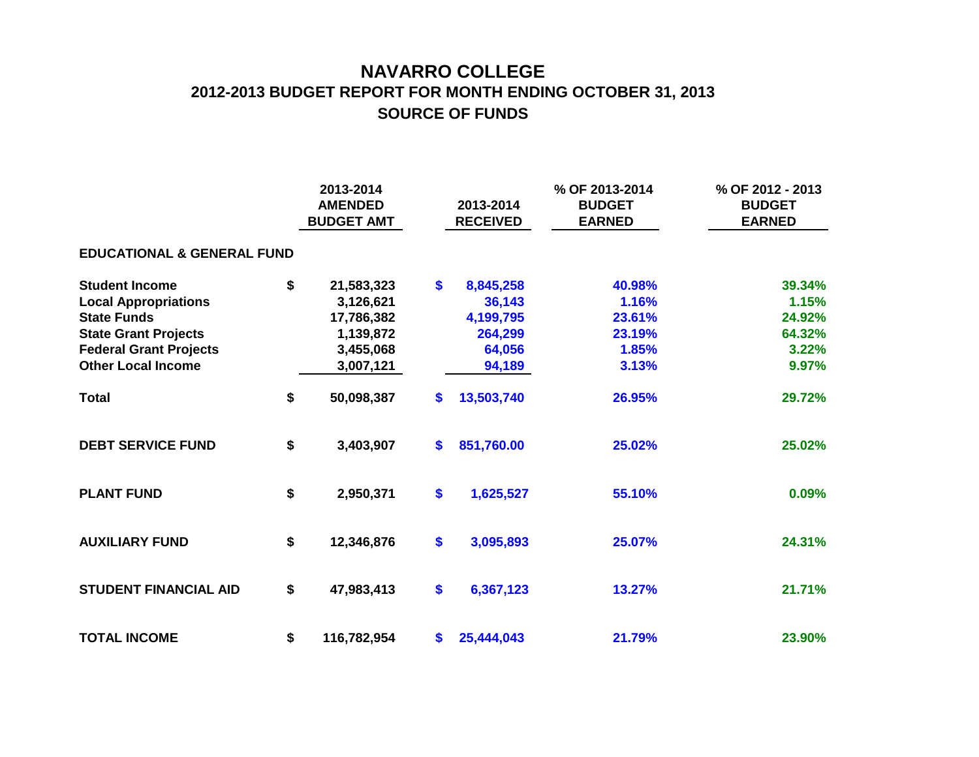## **NAVARRO COLLEGE 2012-2013 BUDGET REPORT FOR MONTH ENDING OCTOBER 31, 2013 SOURCE OF FUNDS**

|                                       |    | 2013-2014<br><b>AMENDED</b><br><b>BUDGET AMT</b> |                   | 2013-2014<br><b>RECEIVED</b> | % OF 2013-2014<br><b>BUDGET</b><br><b>EARNED</b> | % OF 2012 - 2013<br><b>BUDGET</b><br><b>EARNED</b> |  |  |  |  |  |  |  |
|---------------------------------------|----|--------------------------------------------------|-------------------|------------------------------|--------------------------------------------------|----------------------------------------------------|--|--|--|--|--|--|--|
| <b>EDUCATIONAL &amp; GENERAL FUND</b> |    |                                                  |                   |                              |                                                  |                                                    |  |  |  |  |  |  |  |
| <b>Student Income</b>                 | \$ | 21,583,323                                       | $\mathbf{s}$      | 8,845,258                    | 40.98%                                           | 39.34%                                             |  |  |  |  |  |  |  |
| <b>Local Appropriations</b>           |    | 3,126,621                                        |                   | 36,143                       | 1.16%                                            | 1.15%                                              |  |  |  |  |  |  |  |
| <b>State Funds</b>                    |    | 17,786,382                                       |                   | 4,199,795                    | 23.61%                                           | 24.92%                                             |  |  |  |  |  |  |  |
| <b>State Grant Projects</b>           |    | 1,139,872                                        |                   | 264,299                      | 23.19%                                           | 64.32%                                             |  |  |  |  |  |  |  |
| <b>Federal Grant Projects</b>         |    | 3,455,068                                        |                   | 64,056                       | 1.85%                                            | 3.22%                                              |  |  |  |  |  |  |  |
| <b>Other Local Income</b>             |    | 3,007,121                                        |                   | 94,189                       | 3.13%                                            | 9.97%                                              |  |  |  |  |  |  |  |
| <b>Total</b>                          | \$ | 50,098,387                                       | \$                | 13,503,740                   | 26.95%                                           | 29.72%                                             |  |  |  |  |  |  |  |
| <b>DEBT SERVICE FUND</b>              | \$ | 3,403,907                                        | $\mathbf{s}$      | 851,760.00                   | 25.02%                                           | 25.02%                                             |  |  |  |  |  |  |  |
| <b>PLANT FUND</b>                     | \$ | 2,950,371                                        | $\boldsymbol{\$}$ | 1,625,527                    | 55.10%                                           | 0.09%                                              |  |  |  |  |  |  |  |
| <b>AUXILIARY FUND</b>                 | \$ | 12,346,876                                       | $\boldsymbol{\$}$ | 3,095,893                    | 25.07%                                           | 24.31%                                             |  |  |  |  |  |  |  |
| <b>STUDENT FINANCIAL AID</b>          | \$ | 47,983,413                                       | \$                | 6,367,123                    | 13.27%                                           | 21.71%                                             |  |  |  |  |  |  |  |
| <b>TOTAL INCOME</b>                   | \$ | 116,782,954                                      | \$                | 25,444,043                   | 21.79%                                           | 23.90%                                             |  |  |  |  |  |  |  |